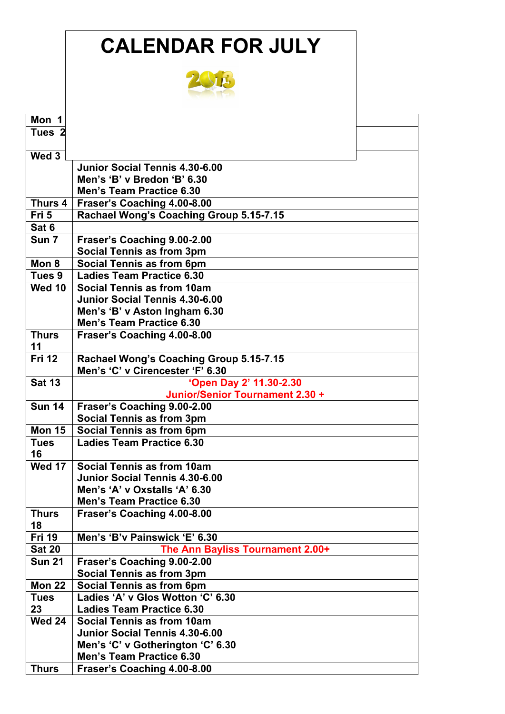|                   | <b>CALENDAR FOR JULY</b>                                         |  |
|-------------------|------------------------------------------------------------------|--|
|                   |                                                                  |  |
| Mon 1             |                                                                  |  |
| Tues <sub>2</sub> |                                                                  |  |
|                   |                                                                  |  |
| Wed 3             |                                                                  |  |
|                   | Junior Social Tennis 4.30-6.00                                   |  |
|                   | Men's 'B' v Bredon 'B' 6.30                                      |  |
|                   | <b>Men's Team Practice 6.30</b>                                  |  |
| Thurs 4           | Fraser's Coaching 4.00-8.00                                      |  |
| Fri 5             | Rachael Wong's Coaching Group 5.15-7.15                          |  |
| Sat 6             |                                                                  |  |
| Sun <sub>7</sub>  | Fraser's Coaching 9.00-2.00                                      |  |
|                   | Social Tennis as from 3pm                                        |  |
| Mon 8             | <b>Social Tennis as from 6pm</b>                                 |  |
| Tues 9            | Ladies Team Practice 6.30                                        |  |
| <b>Wed 10</b>     | Social Tennis as from 10am                                       |  |
|                   | <b>Junior Social Tennis 4.30-6.00</b>                            |  |
|                   | Men's 'B' v Aston Ingham 6.30<br><b>Men's Team Practice 6.30</b> |  |
| <b>Thurs</b>      | Fraser's Coaching 4.00-8.00                                      |  |
| 11                |                                                                  |  |
| <b>Fri 12</b>     | Rachael Wong's Coaching Group 5.15-7.15                          |  |
|                   | Men's 'C' v Cirencester 'F' 6.30                                 |  |
| <b>Sat 13</b>     | 'Open Day 2' 11.30-2.30                                          |  |
|                   | Junior/Senior Tournament 2.30 +                                  |  |
| <b>Sun 14</b>     | Fraser's Coaching 9.00-2.00                                      |  |
|                   | Social Tennis as from 3pm                                        |  |
| <b>Mon 15</b>     | Social Tennis as from 6pm                                        |  |
| <b>Tues</b>       | <b>Ladies Team Practice 6.30</b>                                 |  |
| 16                |                                                                  |  |
| <b>Wed 17</b>     | Social Tennis as from 10am                                       |  |
|                   | Junior Social Tennis 4.30-6.00                                   |  |
|                   | Men's 'A' v Oxstalls 'A' 6.30<br><b>Men's Team Practice 6.30</b> |  |
| <b>Thurs</b>      | Fraser's Coaching 4.00-8.00                                      |  |
| 18                |                                                                  |  |
| <b>Fri 19</b>     | Men's 'B'v Painswick 'E' 6.30                                    |  |
| <b>Sat 20</b>     | The Ann Bayliss Tournament 2.00+                                 |  |
| <b>Sun 21</b>     | Fraser's Coaching 9.00-2.00                                      |  |
|                   | Social Tennis as from 3pm                                        |  |
| <b>Mon 22</b>     | Social Tennis as from 6pm                                        |  |
| <b>Tues</b>       | Ladies 'A' v Glos Wotton 'C' 6.30                                |  |
| 23                | <b>Ladies Team Practice 6.30</b>                                 |  |
| <b>Wed 24</b>     | Social Tennis as from 10am                                       |  |
|                   | <b>Junior Social Tennis 4.30-6.00</b>                            |  |
|                   | Men's 'C' v Gotherington 'C' 6.30                                |  |
|                   | <b>Men's Team Practice 6.30</b>                                  |  |
| <b>Thurs</b>      | Fraser's Coaching 4.00-8.00                                      |  |